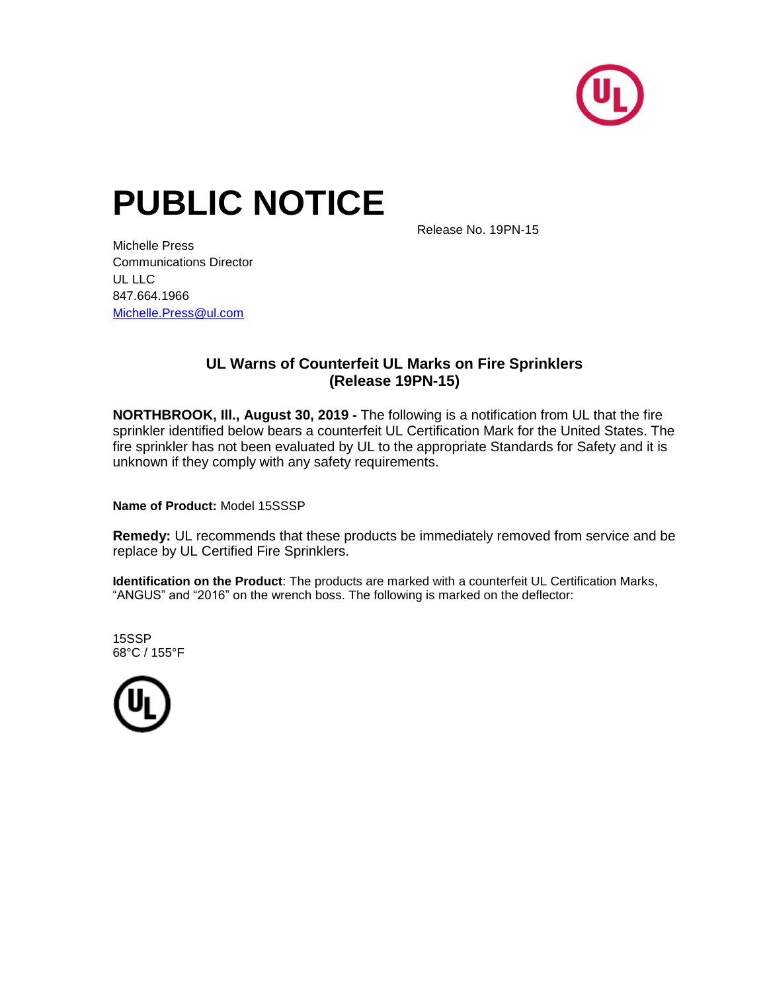

## **PUBLIC NOTICE**

Release No. 19PN-15

Michelle Press Communications Director  $UL$  LLC 847.664.1966 [Michelle.Press@ul.com](mailto:Brooke.Arrington@ul.com)

## **UL Warns of Counterfeit UL Marks on Fire Sprinklers (Release 19PN-15)**

**NORTHBROOK, Ill., August 30, 2019 -** The following is a notification from UL that the fire sprinkler identified below bears a counterfeit UL Certification Mark for the United States. The fire sprinkler has not been evaluated by UL to the appropriate Standards for Safety and it is unknown if they comply with any safety requirements.

**Name of Product:** Model 15SSSP

**Remedy:** UL recommends that these products be immediately removed from service and be replace by UL Certified Fire Sprinklers.

**Identification on the Product**: The products are marked with a counterfeit UL Certification Marks, "ANGUS" and "2016" on the wrench boss. The following is marked on the deflector:

15SSP 68°C / 155°F

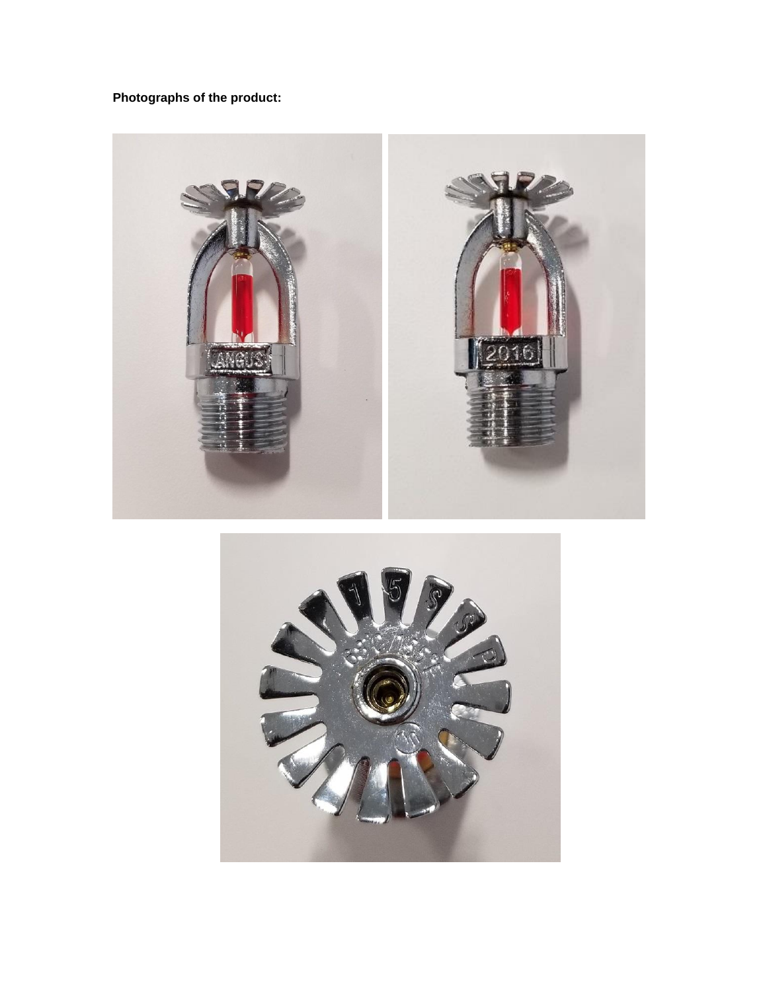**Photographs of the product:**